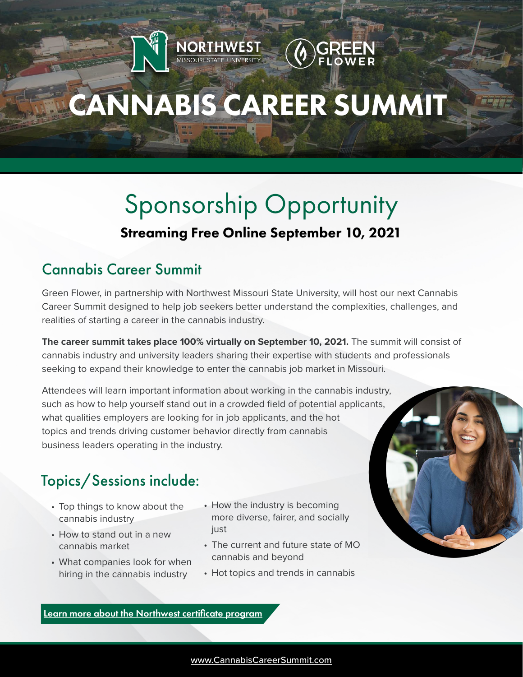# CANNABIS CAREER SUMMIT

**NORTHWEST** 

## Sponsorship Opportunity Streaming Free Online September 10, 2021

## Cannabis Career Summit

Green Flower, in partnership with Northwest Missouri State University, will host our next Cannabis Career Summit designed to help job seekers better understand the complexities, challenges, and realities of starting a career in the cannabis industry.

**The career summit takes place 100% virtually on September 10, 2021.** The summit will consist of cannabis industry and university leaders sharing their expertise with students and professionals seeking to expand their knowledge to enter the cannabis job market in Missouri.

Attendees will learn important information about working in the cannabis industry, such as how to help yourself stand out in a crowded field of potential applicants, what qualities employers are looking for in job applicants, and the hot topics and trends driving customer behavior directly from cannabis business leaders operating in the industry.

#### Ī Topics/Sessions include:

- Top things to know about the cannabis industry
- How to stand out in a new cannabis market
- What companies look for when hiring in the cannabis industry
- How the industry is becoming more diverse, fairer, and socially just
- The current and future state of MO cannabis and beyond
- Hot topics and trends in cannabis

earn more about the Northwest certificate program